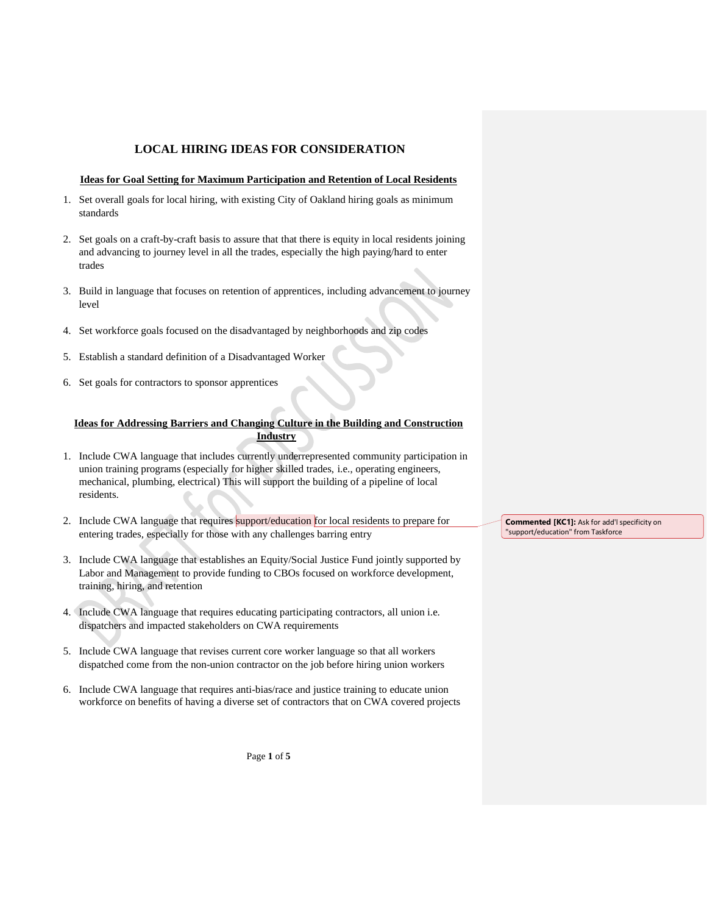# **LOCAL HIRING IDEAS FOR CONSIDERATION**

#### **Ideas for Goal Setting for Maximum Participation and Retention of Local Residents**

- 1. Set overall goals for local hiring, with existing City of Oakland hiring goals as minimum standards
- 2. Set goals on a craft-by-craft basis to assure that that there is equity in local residents joining and advancing to journey level in all the trades, especially the high paying/hard to enter trades
- 3. Build in language that focuses on retention of apprentices, including advancement to journey level
- 4. Set workforce goals focused on the disadvantaged by neighborhoods and zip codes
- 5. Establish a standard definition of a Disadvantaged Worker
- 6. Set goals for contractors to sponsor apprentices

## **Ideas for Addressing Barriers and Changing Culture in the Building and Construction Industry**

- 1. Include CWA language that includes currently underrepresented community participation in union training programs (especially for higher skilled trades, i.e., operating engineers, mechanical, plumbing, electrical) This will support the building of a pipeline of local residents.
- 2. Include CWA language that requires support/education for local residents to prepare for entering trades, especially for those with any challenges barring entry
- 3. Include CWA language that establishes an Equity/Social Justice Fund jointly supported by Labor and Management to provide funding to CBOs focused on workforce development, training, hiring, and retention
- 4. Include CWA language that requires educating participating contractors, all union i.e. dispatchers and impacted stakeholders on CWA requirements
- 5. Include CWA language that revises current core worker language so that all workers dispatched come from the non-union contractor on the job before hiring union workers
- 6. Include CWA language that requires anti-bias/race and justice training to educate union workforce on benefits of having a diverse set of contractors that on CWA covered projects

**Commented [KC1]:** Ask for add'l specificity on "support/education" from Taskforce

Page **1** of **5**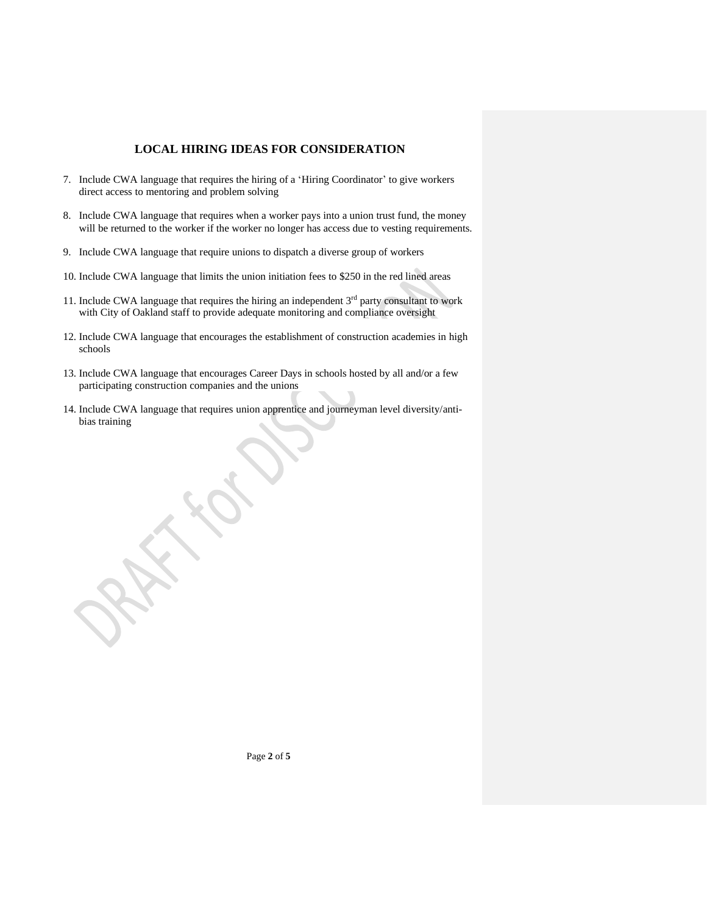## **LOCAL HIRING IDEAS FOR CONSIDERATION**

- 7. Include CWA language that requires the hiring of a 'Hiring Coordinator' to give workers direct access to mentoring and problem solving
- 8. Include CWA language that requires when a worker pays into a union trust fund, the money will be returned to the worker if the worker no longer has access due to vesting requirements.
- 9. Include CWA language that require unions to dispatch a diverse group of workers
- 10. Include CWA language that limits the union initiation fees to \$250 in the red lined areas
- 11. Include CWA language that requires the hiring an independent  $3<sup>rd</sup>$  party consultant to work with City of Oakland staff to provide adequate monitoring and compliance oversight
- 12. Include CWA language that encourages the establishment of construction academies in high schools
- 13. Include CWA language that encourages Career Days in schools hosted by all and/or a few participating construction companies and the unions
- 14. Include CWA language that requires union apprentice and journeyman level diversity/antibias training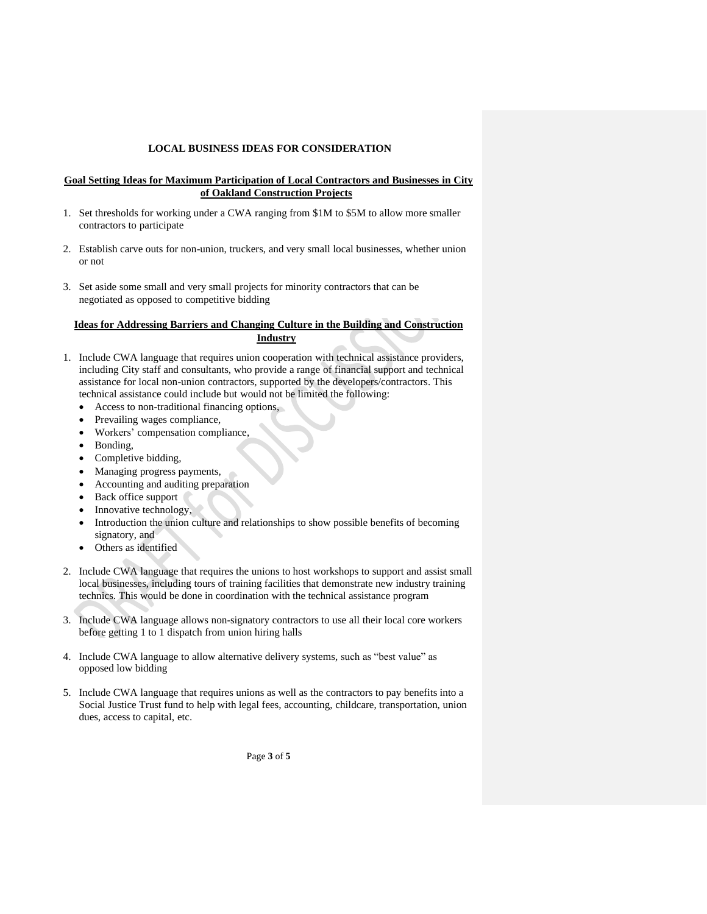## **LOCAL BUSINESS IDEAS FOR CONSIDERATION**

#### **Goal Setting Ideas for Maximum Participation of Local Contractors and Businesses in City of Oakland Construction Projects**

- 1. Set thresholds for working under a CWA ranging from \$1M to \$5M to allow more smaller contractors to participate
- 2. Establish carve outs for non-union, truckers, and very small local businesses, whether union or not
- 3. Set aside some small and very small projects for minority contractors that can be negotiated as opposed to competitive bidding

## **Ideas for Addressing Barriers and Changing Culture in the Building and Construction Industry**

- 1. Include CWA language that requires union cooperation with technical assistance providers, including City staff and consultants, who provide a range of financial support and technical assistance for local non-union contractors, supported by the developers/contractors. This technical assistance could include but would not be limited the following:
	- Access to non-traditional financing options,
	- Prevailing wages compliance,
	- Workers' compensation compliance,
	- Bonding,
	- Completive bidding,
	- Managing progress payments,
	- Accounting and auditing preparation
	- Back office support
	- Innovative technology,
	- Introduction the union culture and relationships to show possible benefits of becoming signatory, and
	- Others as identified
- 2. Include CWA language that requires the unions to host workshops to support and assist small local businesses, including tours of training facilities that demonstrate new industry training technics. This would be done in coordination with the technical assistance program
- 3. Include CWA language allows non-signatory contractors to use all their local core workers before getting 1 to 1 dispatch from union hiring halls
- 4. Include CWA language to allow alternative delivery systems, such as "best value" as opposed low bidding
- 5. Include CWA language that requires unions as well as the contractors to pay benefits into a Social Justice Trust fund to help with legal fees, accounting, childcare, transportation, union dues, access to capital, etc.

Page **3** of **5**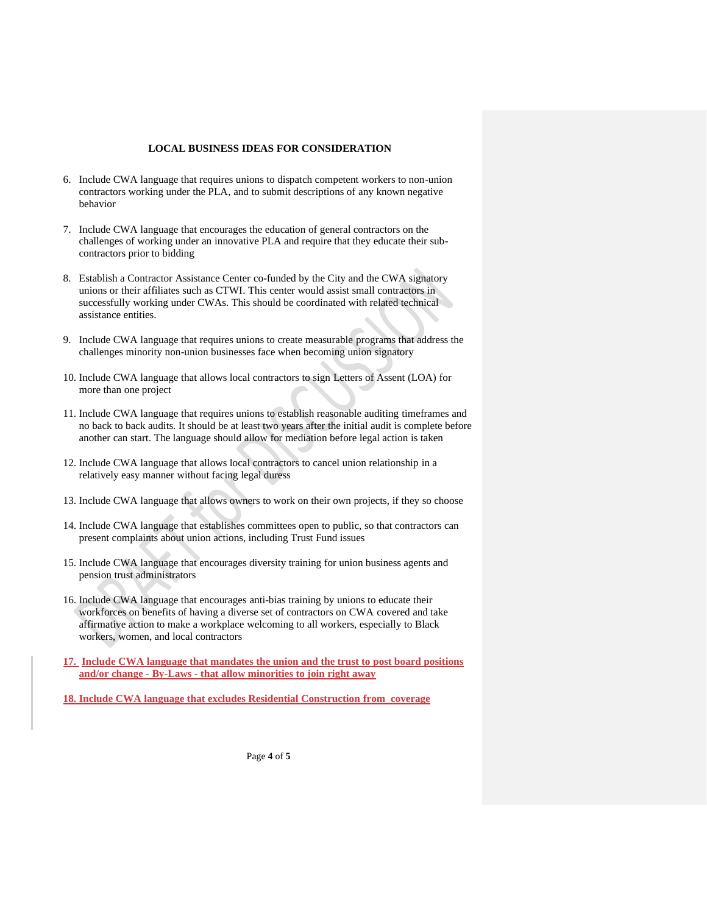#### **LOCAL BUSINESS IDEAS FOR CONSIDERATION**

- 6. Include CWA language that requires unions to dispatch competent workers to non-union contractors working under the PLA, and to submit descriptions of any known negative behavior
- 7. Include CWA language that encourages the education of general contractors on the challenges of working under an innovative PLA and require that they educate their subcontractors prior to bidding
- 8. Establish a Contractor Assistance Center co-funded by the City and the CWA signatory unions or their affiliates such as CTWI. This center would assist small contractors in successfully working under CWAs. This should be coordinated with related technical assistance entities.
- 9. Include CWA language that requires unions to create measurable programs that address the challenges minority non-union businesses face when becoming union signatory
- 10. Include CWA language that allows local contractors to sign Letters of Assent (LOA) for more than one project
- 11. Include CWA language that requires unions to establish reasonable auditing timeframes and no back to back audits. It should be at least two years after the initial audit is complete before another can start. The language should allow for mediation before legal action is taken
- 12. Include CWA language that allows local contractors to cancel union relationship in a relatively easy manner without facing legal duress
- 13. Include CWA language that allows owners to work on their own projects, if they so choose
- 14. Include CWA language that establishes committees open to public, so that contractors can present complaints about union actions, including Trust Fund issues
- 15. Include CWA language that encourages diversity training for union business agents and pension trust administrators
- 16. Include CWA language that encourages anti-bias training by unions to educate their workforces on benefits of having a diverse set of contractors on CWA covered and take affirmative action to make a workplace welcoming to all workers, especially to Black workers, women, and local contractors
- **17. Include CWA language that mandates the union and the trust to post board positions and/or change - By-Laws - that allow minorities to join right away**

**18. Include CWA language that excludes Residential Construction from coverage**

Page **4** of **5**